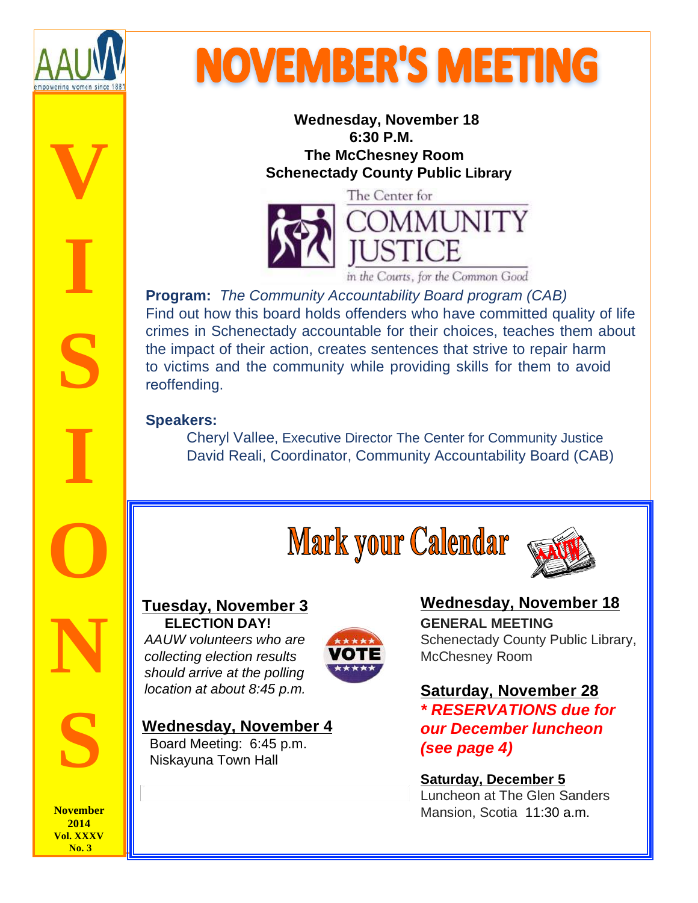

The **V** 

**I** 

**S** 

**I** 

**O** 

**N** 

**S** 

# **NOVEMBER'S MEETING**

 **Wednesday, November 18 6:30 P.M. The McChesney Room Schenectady County Public Library**



in the Courts, for the Common Good

**Program:** The Community Accountability Board program (CAB) Find out how this board holds offenders who have committed quality of life crimes in Schenectady accountable for their choices, teaches them about the impact of their action, creates sentences that strive to repair harm to victims and the community while providing skills for them to avoid reoffending.

#### **Speakers:**

 Cheryl Vallee, Executive Director The Center for Community Justice David Reali, Coordinator, Community Accountability Board (CAB)

# **Mark your Calendar**



#### **Tuesday, November 3 ELECTION DAY!**

AAUW volunteers who are collecting election results should arrive at the polling location at about 8:45 p.m.

#### **Wednesday, November 4** Board Meeting: 6:45 p.m.

Niskayuna Town Hall

**Wednesday, November 18 GENERAL MEETING**  Schenectady County Public Library, McChesney Room

#### **Saturday, November 28 \* RESERVATIONS due for our December luncheon (see page 4)**

#### **Saturday, December 5**

Luncheon at The Glen Sanders Mansion, Scotia 11:30 a.m.

**November 2014 Vol. XXXV No. 3**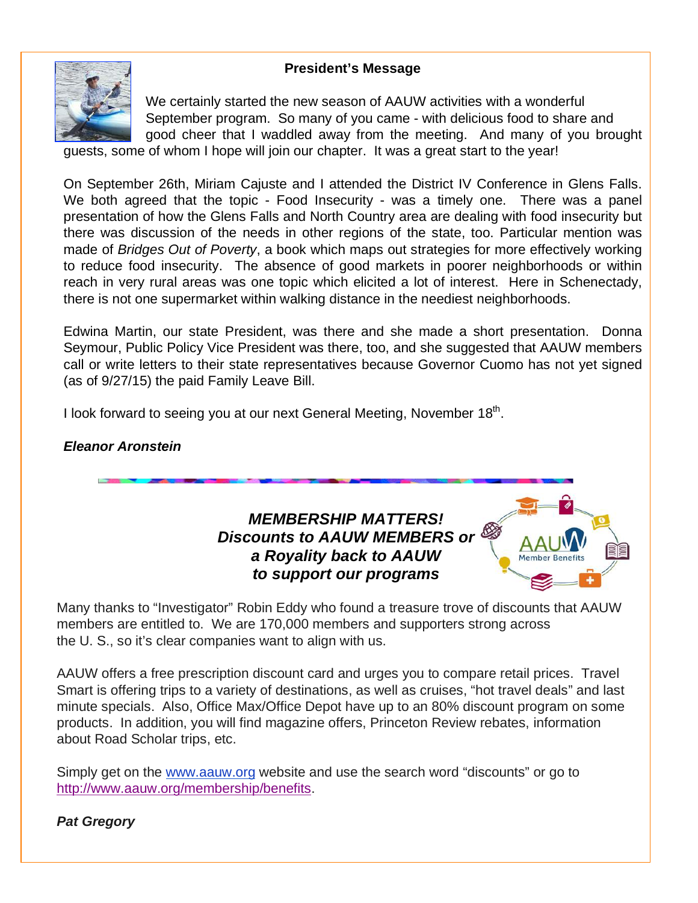#### **President's Message**



We certainly started the new season of AAUW activities with a wonderful September program. So many of you came - with delicious food to share and good cheer that I waddled away from the meeting. And many of you brought

guests, some of whom I hope will join our chapter. It was a great start to the year!

On September 26th, Miriam Cajuste and I attended the District IV Conference in Glens Falls. We both agreed that the topic - Food Insecurity - was a timely one. There was a panel presentation of how the Glens Falls and North Country area are dealing with food insecurity but there was discussion of the needs in other regions of the state, too. Particular mention was made of Bridges Out of Poverty, a book which maps out strategies for more effectively working to reduce food insecurity. The absence of good markets in poorer neighborhoods or within reach in very rural areas was one topic which elicited a lot of interest. Here in Schenectady, there is not one supermarket within walking distance in the neediest neighborhoods.

Edwina Martin, our state President, was there and she made a short presentation. Donna Seymour, Public Policy Vice President was there, too, and she suggested that AAUW members call or write letters to their state representatives because Governor Cuomo has not yet signed (as of 9/27/15) the paid Family Leave Bill.

I look forward to seeing you at our next General Meeting, November 18<sup>th</sup>.

#### **Eleanor Aronstein**



Many thanks to "Investigator" Robin Eddy who found a treasure trove of discounts that AAUW members are entitled to. We are 170,000 members and supporters strong across the U. S., so it's clear companies want to align with us.

AAUW offers a free prescription discount card and urges you to compare retail prices. Travel Smart is offering trips to a variety of destinations, as well as cruises, "hot travel deals" and last minute specials. Also, Office Max/Office Depot have up to an 80% discount program on some products. In addition, you will find magazine offers, Princeton Review rebates, information about Road Scholar trips, etc.

Simply get on the www.aauw.org website and use the search word "discounts" or go to http://www.aauw.org/membership/benefits.

#### **Pat Gregory**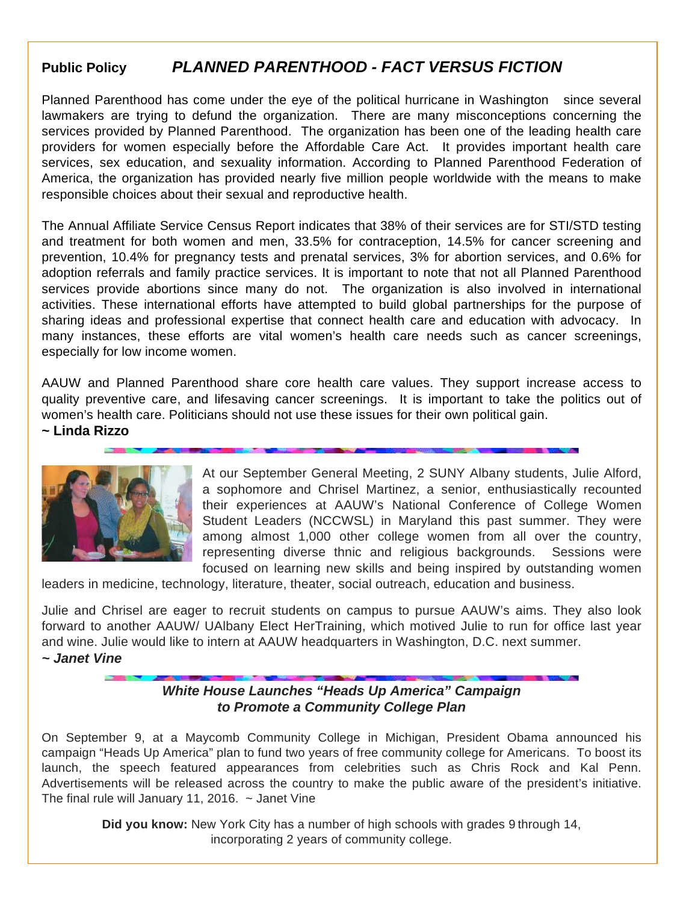#### **Public Policy PLANNED PARENTHOOD - FACT VERSUS FICTION**

Planned Parenthood has come under the eye of the political hurricane in Washington since several lawmakers are trying to defund the organization. There are many misconceptions concerning the services provided by Planned Parenthood. The organization has been one of the leading health care providers for women especially before the Affordable Care Act. It provides important health care services, sex education, and sexuality information. According to Planned Parenthood Federation of America, the organization has provided nearly five million people worldwide with the means to make responsible choices about their sexual and reproductive health.

The Annual Affiliate Service Census Report indicates that 38% of their services are for STI/STD testing and treatment for both women and men, 33.5% for contraception, 14.5% for cancer screening and prevention, 10.4% for pregnancy tests and prenatal services, 3% for abortion services, and 0.6% for adoption referrals and family practice services. It is important to note that not all Planned Parenthood services provide abortions since many do not. The organization is also involved in international activities. These international efforts have attempted to build global partnerships for the purpose of sharing ideas and professional expertise that connect health care and education with advocacy. In many instances, these efforts are vital women's health care needs such as cancer screenings, especially for low income women.

AAUW and Planned Parenthood share core health care values. They support increase access to quality preventive care, and lifesaving cancer screenings. It is important to take the politics out of women's health care. Politicians should not use these issues for their own political gain.

**~ Linda Rizzo**



At our September General Meeting, 2 SUNY Albany students, Julie Alford, a sophomore and Chrisel Martinez, a senior, enthusiastically recounted their experiences at AAUW's National Conference of College Women Student Leaders (NCCWSL) in Maryland this past summer. They were among almost 1,000 other college women from all over the country, representing diverse thnic and religious backgrounds. Sessions were focused on learning new skills and being inspired by outstanding women

leaders in medicine, technology, literature, theater, social outreach, education and business.

Julie and Chrisel are eager to recruit students on campus to pursue AAUW's aims. They also look forward to another AAUW/ UAlbany Elect HerTraining, which motived Julie to run for office last year and wine. Julie would like to intern at AAUW headquarters in Washington, D.C. next summer. **~ Janet Vine**

> **White House Launches "Heads Up America" Campaign to Promote a Community College Plan**

On September 9, at a Maycomb Community College in Michigan, President Obama announced his campaign "Heads Up America" plan to fund two years of free community college for Americans. To boost its launch, the speech featured appearances from celebrities such as Chris Rock and Kal Penn. Advertisements will be released across the country to make the public aware of the president's initiative. The final rule will January 11, 2016.  $\sim$  Janet Vine

> **Did you know:** New York City has a number of high schools with grades 9 through 14, incorporating 2 years of community college.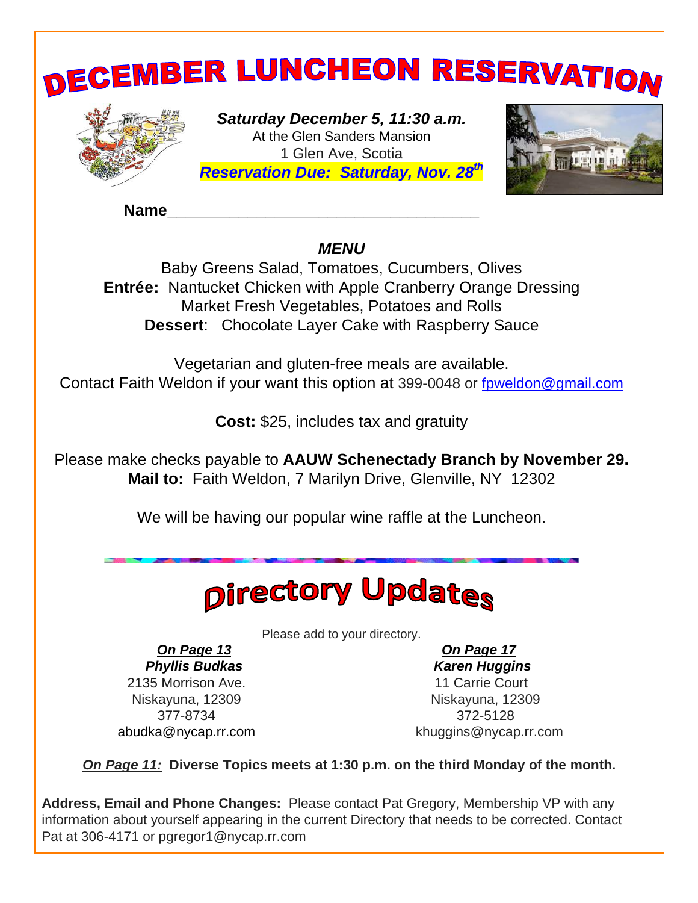

**Name\_\_\_\_\_\_\_\_\_\_\_\_\_\_\_\_\_\_\_\_\_\_\_\_\_\_\_\_\_\_\_\_\_\_\_**

#### **MENU**

Baby Greens Salad, Tomatoes, Cucumbers, Olives **Entrée:** Nantucket Chicken with Apple Cranberry Orange Dressing Market Fresh Vegetables, Potatoes and Rolls **Dessert**: Chocolate Layer Cake with Raspberry Sauce

Vegetarian and gluten-free meals are available. Contact Faith Weldon if your want this option at 399-0048 or fpweldon@gmail.com

**Cost:** \$25, includes tax and gratuity

Please make checks payable to **AAUW Schenectady Branch by November 29. Mail to:** Faith Weldon, 7 Marilyn Drive, Glenville, NY 12302

We will be having our popular wine raffle at the Luncheon.

## **Directory Updates**

Please add to your directory.

**On Page 13 Phyllis Budkas** 2135 Morrison Ave. Niskayuna, 12309 377-8734 abudka@nycap.rr.com

 **On Page 17 Karen Huggins** 11 Carrie Court Niskayuna, 12309 372-5128 khuggins@nycap.rr.com

**On Page 11: Diverse Topics meets at 1:30 p.m. on the third Monday of the month.**

**Address, Email and Phone Changes:** Please contact Pat Gregory, Membership VP with any information about yourself appearing in the current Directory that needs to be corrected. Contact Pat at 306-4171 or pgregor1@nycap.rr.com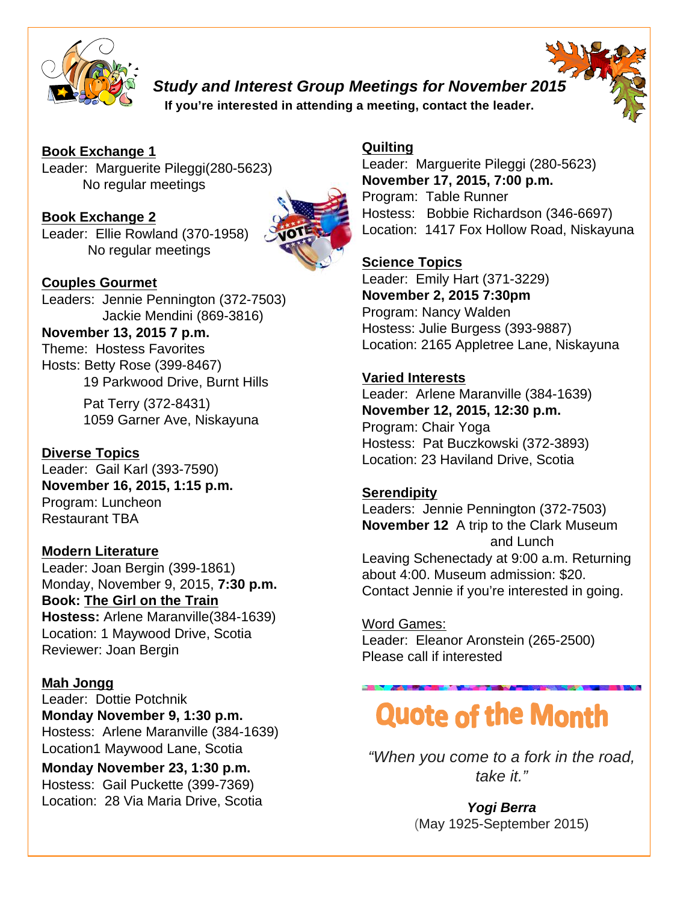

**Study and Interest Group Meetings for November 2015**

**If you're interested in attending a meeting, contact the leader.**

**Book Exchange 1** Leader: Marguerite Pileggi(280-5623) No regular meetings

**Book Exchange 2** Leader: Ellie Rowland (370-1958) No regular meetings



**Couples Gourmet**

Leaders: Jennie Pennington (372-7503) Jackie Mendini (869-3816) **November 13, 2015 7 p.m.** Theme: Hostess Favorites

Hosts: Betty Rose (399-8467) 19 Parkwood Drive, Burnt Hills

> Pat Terry (372-8431) 1059 Garner Ave, Niskayuna

**Diverse Topics** Leader: Gail Karl (393-7590) **November 16, 2015, 1:15 p.m.** Program: Luncheon Restaurant TBA

**Modern Literature** Leader: Joan Bergin (399-1861) Monday, November 9, 2015, **7:30 p.m. Book: The Girl on the Train Hostess:** Arlene Maranville(384-1639) Location: 1 Maywood Drive, Scotia Reviewer: Joan Bergin

**Mah Jongg**

Leader: Dottie Potchnik **Monday November 9, 1:30 p.m.** Hostess: Arlene Maranville (384-1639) Location1 Maywood Lane, Scotia

**Monday November 23, 1:30 p.m.** Hostess: Gail Puckette (399-7369) Location: 28 Via Maria Drive, Scotia

#### **Quilting**

Leader: Marguerite Pileggi (280-5623) **November 17, 2015, 7:00 p.m.** Program: Table Runner Hostess: Bobbie Richardson (346-6697) Location: 1417 Fox Hollow Road, Niskayuna

#### **Science Topics**

Leader: Emily Hart (371-3229) **November 2, 2015 7:30pm** Program: Nancy Walden Hostess: Julie Burgess (393-9887) Location: 2165 Appletree Lane, Niskayuna

#### **Varied Interests**

Leader: Arlene Maranville (384-1639) **November 12, 2015, 12:30 p.m.** Program: Chair Yoga Hostess: Pat Buczkowski (372-3893) Location: 23 Haviland Drive, Scotia

#### **Serendipity**

Leaders: Jennie Pennington (372-7503) **November 12** A trip to the Clark Museum and Lunch Leaving Schenectady at 9:00 a.m. Returning about 4:00. Museum admission: \$20. Contact Jennie if you're interested in going.

Word Games: Leader: Eleanor Aronstein (265-2500) Please call if interested

## **Quote of the Month**

"When you come to a fork in the road, take it."

> **Yogi Berra**  (May 1925-September 2015)